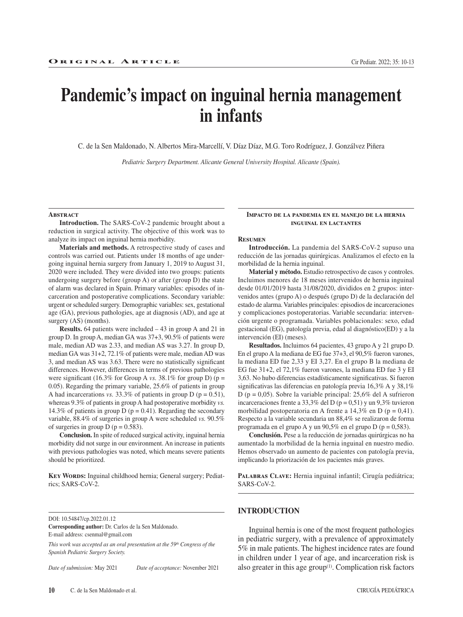# **Pandemic's impact on inguinal hernia management in infants**

C. de la Sen Maldonado, N. Albertos Mira-Marcellí, V. Díaz Díaz, M.G. Toro Rodríguez, J. Gonzálvez Piñera

*Pediatric Surgery Department. Alicante General University Hospital. Alicante (Spain).*

**Resumen**

morbilidad de la hernia inguinal.

intervención (EI) (meses).

#### **Abstract**

**Introduction.** The SARS-CoV-2 pandemic brought about a reduction in surgical activity. The objective of this work was to analyze its impact on inguinal hernia morbidity.

**Materials and methods.** A retrospective study of cases and controls was carried out. Patients under 18 months of age undergoing inguinal hernia surgery from January 1, 2019 to August 31, 2020 were included. They were divided into two groups: patients undergoing surgery before (group A) or after (group D) the state of alarm was declared in Spain. Primary variables: episodes of incarceration and postoperative complications. Secondary variable: urgent or scheduled surgery. Demographic variables: sex, gestational age (GA), previous pathologies, age at diagnosis (AD), and age at surgery (AS) (months).

**Results.** 64 patients were included – 43 in group A and 21 in group D. In group A, median GA was 37+3, 90.5% of patients were male, median AD was 2.33, and median AS was 3.27. In group D, median GA was 31+2, 72.1% of patients were male, median AD was 3, and median AS was 3.63. There were no statistically significant differences. However, differences in terms of previous pathologies were significant (16.3% for Group A *vs.* 38.1% for group D) (p = 0.05). Regarding the primary variable, 25.6% of patients in group A had incarcerations *vs.* 33.3% of patients in group  $D$  ( $p = 0.51$ ), whereas 9.3% of patients in group A had postoperative morbidity *vs.* 14.3% of patients in group D ( $p = 0.41$ ). Regarding the secondary variable, 88.4% of surgeries in group A were scheduled *vs.* 90.5% of surgeries in group  $D (p = 0.583)$ .

**Conclusion.** In spite of reduced surgical activity, inguinal hernia morbidity did not surge in our environment. An increase in patients with previous pathologies was noted, which means severe patients should be prioritized.

KEY WORDS: Inguinal childhood hernia; General surgery; Pediatrics; SARS-CoV-2.

**Corresponding author:** Dr. Carlos de la Sen Maldonado. E-mail address: csenmal@gmail.com

*This work was accepted as an oral presentation at the 59th Congress of the Spanish Pediatric Surgery Society.*

*Date of submission:* May 2021 *Date of acceptance:* November 2021

# Respecto a la variable secundaria un 88,4% se realizaron de forma programada en el grupo A y un 90,5% en el grupo D (p = 0,583).

**Conclusión.** Pese a la reducción de jornadas quirúrgicas no ha aumentado la morbilidad de la hernia inguinal en nuestro medio. Hemos observado un aumento de pacientes con patología previa, implicando la priorización de los pacientes más graves.

**Impacto de la pandemia en el manejo de la hernia inguinal en lactantes**

**Introducción.** La pandemia del SARS-CoV-2 supuso una reducción de las jornadas quirúrgicas. Analizamos el efecto en la

**Material y método.** Estudio retrospectivo de casos y controles. Incluimos menores de 18 meses intervenidos de hernia inguinal desde 01/01/2019 hasta 31/08/2020, divididos en 2 grupos: intervenidos antes (grupo A) o después (grupo D) de la declaración del estado de alarma. Variables principales: episodios de incarceraciones y complicaciones postoperatorias. Variable secundaria: intervención urgente o programada. Variables poblacionales: sexo, edad gestacional (EG), patología previa, edad al diagnóstico(ED) y a la

**Resultados.** Incluimos 64 pacientes, 43 grupo A y 21 grupo D. En el grupo A la mediana de EG fue 37+3, el 90,5% fueron varones, la mediana ED fue 2,33 y EI 3,27. En el grupo B la mediana de EG fue 31+2, el 72,1% fueron varones, la mediana ED fue 3 y EI 3,63. No hubo diferencias estadísticamente significativas. Si fueron significativas las diferencias en patología previa 16,3% A y 38,1% D (p = 0,05). Sobre la variable principal: 25,6% del A sufrieron incarceraciones frente a 33,3% del D ( $p = 0.51$ ) y un 9,3% tuvieron morbilidad postoperatoria en A frente a 14,3% en D ( $p = 0.41$ ).

PALABRAS CLAVE: Hernia inguinal infantil; Cirugía pediátrica; SARS-CoV-2.

# **INTRODUCTION**

Inguinal hernia is one of the most frequent pathologies in pediatric surgery, with a prevalence of approximately 5% in male patients. The highest incidence rates are found in children under 1 year of age, and incarceration risk is also greater in this age group $(1)$ . Complication risk factors

DOI: 10.54847/cp.2022.01.12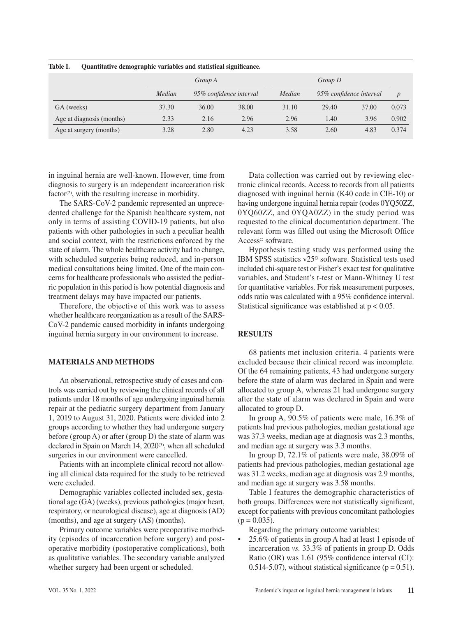|                           |        | Group A |                         |       | Group D                 |       |                  |
|---------------------------|--------|---------|-------------------------|-------|-------------------------|-------|------------------|
|                           | Median |         | 95% confidence interval |       | 95% confidence interval |       | $\boldsymbol{D}$ |
| GA (weeks)                | 37.30  | 36.00   | 38.00                   | 31.10 | 29.40                   | 37.00 | 0.073            |
| Age at diagnosis (months) | 2.33   | 2.16    | 2.96                    | 2.96  | 1.40                    | 3.96  | 0.902            |
| Age at surgery (months)   | 3.28   | 2.80    | 4.23                    | 3.58  | 2.60                    | 4.83  | 0.374            |

**Table I. Quantitative demographic variables and statistical significance.**

in inguinal hernia are well-known. However, time from diagnosis to surgery is an independent incarceration risk factor<sup>(2)</sup>, with the resulting increase in morbidity.

The SARS-CoV-2 pandemic represented an unprecedented challenge for the Spanish healthcare system, not only in terms of assisting COVID-19 patients, but also patients with other pathologies in such a peculiar health and social context, with the restrictions enforced by the state of alarm. The whole healthcare activity had to change, with scheduled surgeries being reduced, and in-person medical consultations being limited. One of the main concerns for healthcare professionals who assisted the pediatric population in this period is how potential diagnosis and treatment delays may have impacted our patients.

Therefore, the objective of this work was to assess whether healthcare reorganization as a result of the SARS-CoV-2 pandemic caused morbidity in infants undergoing inguinal hernia surgery in our environment to increase.

# **MATERIALS AND METHODS**

An observational, retrospective study of cases and controls was carried out by reviewing the clinical records of all patients under 18 months of age undergoing inguinal hernia repair at the pediatric surgery department from January 1, 2019 to August 31, 2020. Patients were divided into 2 groups according to whether they had undergone surgery before (group A) or after (group D) the state of alarm was declared in Spain on March 14, 2020<sup>(3)</sup>, when all scheduled surgeries in our environment were cancelled.

Patients with an incomplete clinical record not allowing all clinical data required for the study to be retrieved were excluded.

Demographic variables collected included sex, gestational age (GA) (weeks), previous pathologies (major heart, respiratory, or neurological disease), age at diagnosis (AD) (months), and age at surgery (AS) (months).

Primary outcome variables were preoperative morbidity (episodes of incarceration before surgery) and postoperative morbidity (postoperative complications), both as qualitative variables. The secondary variable analyzed whether surgery had been urgent or scheduled.

Data collection was carried out by reviewing electronic clinical records. Access to records from all patients diagnosed with inguinal hernia (K40 code in CIE-10) or having undergone inguinal hernia repair (codes 0YQ50ZZ, 0YQ60ZZ, and 0YQA0ZZ) in the study period was requested to the clinical documentation department. The relevant form was filled out using the Microsoft Office Access© software.

Hypothesis testing study was performed using the IBM SPSS statistics v25© software. Statistical tests used included chi-square test or Fisher's exact test for qualitative variables, and Student's t-test or Mann-Whitney U test for quantitative variables. For risk measurement purposes, odds ratio was calculated with a 95% confidence interval. Statistical significance was established at  $p < 0.05$ .

# **RESULTS**

68 patients met inclusion criteria. 4 patients were excluded because their clinical record was incomplete. Of the 64 remaining patients, 43 had undergone surgery before the state of alarm was declared in Spain and were allocated to group A, whereas 21 had undergone surgery after the state of alarm was declared in Spain and were allocated to group D.

In group A, 90.5% of patients were male, 16.3% of patients had previous pathologies, median gestational age was 37.3 weeks, median age at diagnosis was 2.3 months, and median age at surgery was 3.3 months.

In group D, 72.1% of patients were male, 38.09% of patients had previous pathologies, median gestational age was 31.2 weeks, median age at diagnosis was 2.9 months, and median age at surgery was 3.58 months.

Table I features the demographic characteristics of both groups. Differences were not statistically significant, except for patients with previous concomitant pathologies  $(p = 0.035)$ .

Regarding the primary outcome variables:

• 25.6% of patients in group A had at least 1 episode of incarceration *vs.* 33.3% of patients in group D. Odds Ratio (OR) was 1.61 (95% confidence interval (CI): 0.514-5.07), without statistical significance ( $p = 0.51$ ).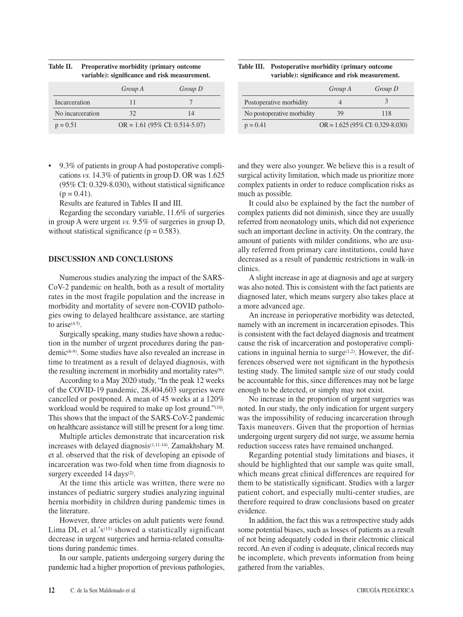|                  | Group A                           | Group D |  |
|------------------|-----------------------------------|---------|--|
| Incarceration    | 11                                |         |  |
| No incarceration | 32                                | 14      |  |
| $p = 0.51$       | $OR = 1.61 (95\% CI: 0.514-5.07)$ |         |  |

**Table II. Preoperative morbidity (primary outcome variable): significance and risk measurement.**

• 9.3% of patients in group A had postoperative complications *vs.* 14.3% of patients in group D. OR was 1.625 (95% CI: 0.329-8.030), without statistical significance  $(p = 0.41)$ .

Results are featured in Tables II and III.

Regarding the secondary variable, 11.6% of surgeries in group A were urgent *vs.* 9.5% of surgeries in group D, without statistical significance ( $p = 0.583$ ).

## **DISCUSSION AND CONCLUSIONS**

Numerous studies analyzing the impact of the SARS-CoV-2 pandemic on health, both as a result of mortality rates in the most fragile population and the increase in morbidity and mortality of severe non-COVID pathologies owing to delayed healthcare assistance, are starting to aris $e^{(4.5)}$ .

Surgically speaking, many studies have shown a reduction in the number of urgent procedures during the pandemic(6-9). Some studies have also revealed an increase in time to treatment as a result of delayed diagnosis, with the resulting increment in morbidity and mortality rates<sup>(9)</sup>.

According to a May 2020 study, "In the peak 12 weeks of the COVID-19 pandemic, 28,404,603 surgeries were cancelled or postponed. A mean of 45 weeks at a 120% workload would be required to make up lost ground."(10). This shows that the impact of the SARS-CoV-2 pandemic on healthcare assistance will still be present for a long time.

Multiple articles demonstrate that incarceration risk increases with delayed diagnosis<sup>(1,11-14)</sup>. Zamakhshary M. et al. observed that the risk of developing an episode of incarceration was two-fold when time from diagnosis to surgery exceeded 14 days<sup>(2)</sup>.

At the time this article was written, there were no instances of pediatric surgery studies analyzing inguinal hernia morbidity in children during pandemic times in the literature.

However, three articles on adult patients were found. Lima DL et al.' $s^{(15)}$  showed a statistically significant decrease in urgent surgeries and hernia-related consultations during pandemic times.

In our sample, patients undergoing surgery during the pandemic had a higher proportion of previous pathologies,

**Table III. Postoperative morbidity (primary outcome variable): significance and risk measurement.**

|                            | Group A                             | Group D |
|----------------------------|-------------------------------------|---------|
| Postoperative morbidity    |                                     |         |
| No postoperative morbidity | 39                                  | 118     |
| $p = 0.41$                 | $OR = 1.625 (95\% CI: 0.329-8.030)$ |         |

and they were also younger. We believe this is a result of surgical activity limitation, which made us prioritize more complex patients in order to reduce complication risks as much as possible.

It could also be explained by the fact the number of complex patients did not diminish, since they are usually referred from neonatology units, which did not experience such an important decline in activity. On the contrary, the amount of patients with milder conditions, who are usually referred from primary care institutions, could have decreased as a result of pandemic restrictions in walk-in clinics.

A slight increase in age at diagnosis and age at surgery was also noted. This is consistent with the fact patients are diagnosed later, which means surgery also takes place at a more advanced age.

An increase in perioperative morbidity was detected, namely with an increment in incarceration episodes. This is consistent with the fact delayed diagnosis and treatment cause the risk of incarceration and postoperative complications in inguinal hernia to surge $(1,2)$ . However, the differences observed were not significant in the hypothesis testing study. The limited sample size of our study could be accountable for this, since differences may not be large enough to be detected, or simply may not exist.

No increase in the proportion of urgent surgeries was noted. In our study, the only indication for urgent surgery was the impossibility of reducing incarceration through Taxis maneuvers. Given that the proportion of hernias undergoing urgent surgery did not surge, we assume hernia reduction success rates have remained unchanged.

Regarding potential study limitations and biases, it should be highlighted that our sample was quite small, which means great clinical differences are required for them to be statistically significant. Studies with a larger patient cohort, and especially multi-center studies, are therefore required to draw conclusions based on greater evidence.

In addition, the fact this was a retrospective study adds some potential biases, such as losses of patients as a result of not being adequately coded in their electronic clinical record. An even if coding is adequate, clinical records may be incomplete, which prevents information from being gathered from the variables.